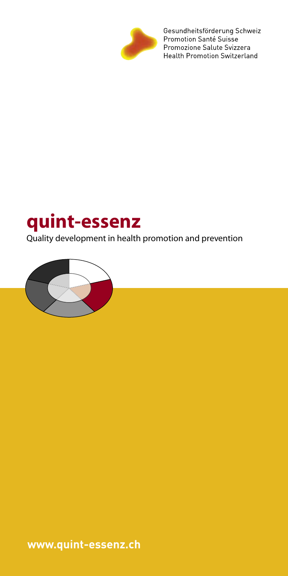

Gesundheitsförderung Schweiz<br>Promotion Santé Suisse Promozione Salute Svizzera Health Promotion Switzerland

# **quint-essenz**

Quality development in health promotion and prevention



**www.quint-essenz.ch**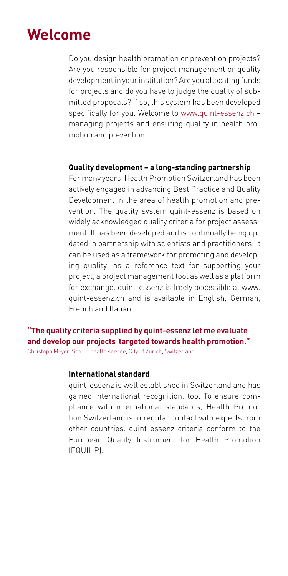### **Welcome**

Do you design health promotion or prevention projects? Are you responsible for project management or quality development in your institution? Are you allocating funds for projects and do you have to judge the quality of submitted proposals? If so, this system has been developed specifically for you. Welcome to www.quint-essenz.ch – managing projects and ensuring quality in health promotion and prevention.

#### **Quality development – a long-standing partnership**

For many years, Health Promotion Switzerland has been actively engaged in advancing Best Practice and Quality Development in the area of health promotion and prevention. The quality system quint-essenz is based on widely acknowledged quality criteria for project assessment. It has been developed and is continually being updated in partnership with scientists and practitioners. It can be used as a framework for promoting and developing quality, as a reference text for supporting your project, a project management tool as well as a platform for exchange. quint-essenz is freely accessible at www. quint-essenz.ch and is available in English, German, French and Italian.

### **"The quality criteria supplied by quint-essenz let me evaluate and develop our projects targeted towards health promotion."**

Christoph Meyer, School health service, City of Zurich, Switzerland

#### **International standard**

quint-essenz is well established in Switzerland and has gained international recognition, too. To ensure compliance with international standards, Health Promotion Switzerland is in regular contact with experts from other countries. quint-essenz criteria conform to the European Quality Instrument for Health Promotion (EQUIHP).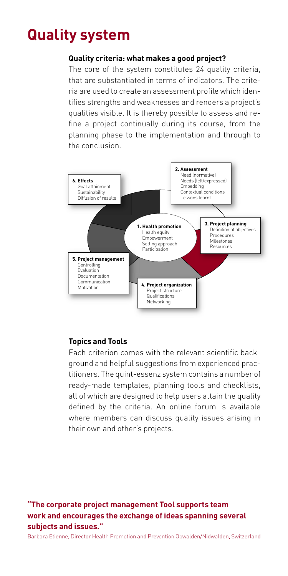### **Quality system**

#### **Quality criteria: what makes a good project?**

The core of the system constitutes 24 quality criteria, that are substantiated in terms of indicators. The criteria are used to create an assessment profile which identifies strengths and weaknesses and renders a project's qualities visible. It is thereby possible to assess and refine a project continually during its course, from the planning phase to the implementation and through to the conclusion.



### **Topics and Tools**

Each criterion comes with the relevant scientific background and helpful suggestions from experienced practitioners. The quint-essenz system contains a number of ready-made templates, planning tools and checklists, all of which are designed to help users attain the quality defined by the criteria. An online forum is available where members can discuss quality issues arising in their own and other's projects.

### **"The corporate project management Tool supports team work and encourages the exchange of ideas spanning several subjects and issues."**

Barbara Etienne, Director Health Promotion and Prevention Obwalden/Nidwalden, Switzerland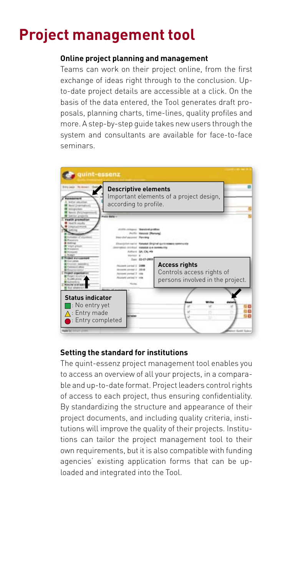### **Project management tool**

#### **Online project planning and management**

Teams can work on their project online, from the first exchange of ideas right through to the conclusion. Upto-date project details are accessible at a click. On the basis of the data entered, the Tool generates draft proposals, planning charts, time-lines, quality profiles and more. A step-by-step guide takes new users through the system and consultants are available for face-to-face seminars.



### **Setting the standard for institutions**

The quint-essenz project management tool enables you to access an overview of all your projects, in a comparable and up-to-date format. Project leaders control rights of access to each project, thus ensuring confidentiality. By standardizing the structure and appearance of their project documents, and including quality criteria, institutions will improve the quality of their projects. Institutions can tailor the project management tool to their own requirements, but it is also compatible with funding agencies' existing application forms that can be uploaded and integrated into the Tool.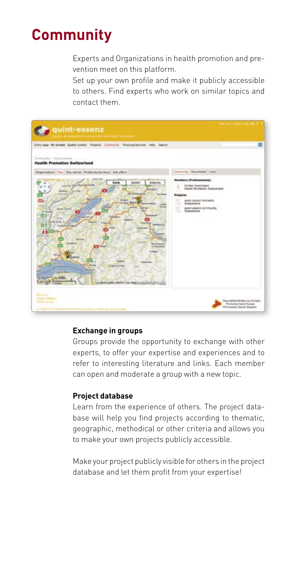### **Community**

Experts and Organizations in health promotion and prevention meet on this platform.

Set up your own profile and make it publicly accessible to others. Find experts who work on similar topics and contact them.



#### **Exchange in groups**

Groups provide the opportunity to exchange with other experts, to offer your expertise and experiences and to refer to interesting literature and links. Each member can open and moderate a group with a new topic.

#### **Project database**

Learn from the experience of others. The project database will help you find projects according to thematic, geographic, methodical or other criteria and allows you to make your own projects publicly accessible.

Make your project publicly visible for others in the project database and let them profit from your expertise!